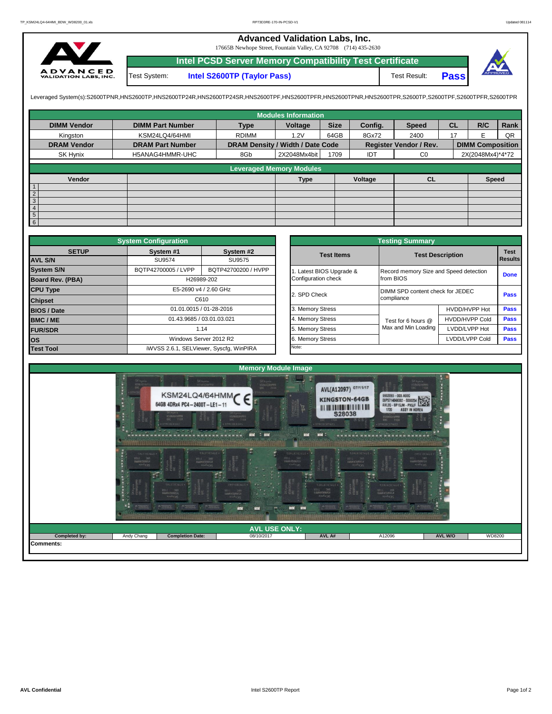## **Advanced Validation Labs, Inc.**

17665B Newhope Street, Fountain Valley, CA 92708 (714) 435-2630



**Intel PCSD Server Memory Compatibility Test Certificate Pass** Test System: **Intel S2600TP (Taylor Pass)** Test Result:

Leveraged System(s):S2600TPNR,HNS2600TP,HNS2600TP24R,HNS2600TP24SR,HNS2600TPF,HNS2600TPRR,HNS2600TPR,S2600TPR,S2600TPR,S2600TPR,S2600TPR,S2600TPFR,S2600TPFR,

|                    |                         |                                  | <b>Modules Information</b>      |      |         |                        |           |                         |      |
|--------------------|-------------------------|----------------------------------|---------------------------------|------|---------|------------------------|-----------|-------------------------|------|
| <b>DIMM Vendor</b> | <b>DIMM Part Number</b> | <b>Type</b>                      | <b>Size</b><br>Voltage          |      | Config. | <b>Speed</b>           | <b>CL</b> | R/C                     | Rank |
| Kingston           | KSM24LQ4/64HMI          | <b>RDIMM</b>                     | 1.2V                            | 64GB | 8Gx72   | 2400                   | 17        |                         | QR   |
| <b>DRAM Vendor</b> | <b>DRAM Part Number</b> | DRAM Density / Width / Date Code |                                 |      |         | Register Vendor / Rev. |           | <b>DIMM Composition</b> |      |
| SK Hynix           | H5ANAG4HMMR-UHC         | 8Gb                              | 2X2048Mx4bit                    | 1709 | IDT     | C <sub>0</sub>         |           | 2X(2048Mx4)*4*72        |      |
|                    |                         |                                  | <b>Leveraged Memory Modules</b> |      |         |                        |           |                         |      |
|                    |                         |                                  |                                 |      |         |                        |           |                         |      |
| Vendor             |                         |                                  | <b>Type</b>                     |      | Voltage | <b>CL</b>              |           | <b>Speed</b>            |      |
| $\overline{1}$     |                         |                                  |                                 |      |         |                        |           |                         |      |
| $\overline{2}$     |                         |                                  |                                 |      |         |                        |           |                         |      |
| $\overline{3}$     |                         |                                  |                                 |      |         |                        |           |                         |      |
| $\overline{4}$     |                         |                                  |                                 |      |         |                        |           |                         |      |
| $\frac{5}{6}$      |                         |                                  |                                 |      |         |                        |           |                         |      |
|                    |                         |                                  |                                 |      |         |                        |           |                         |      |

|                         | <b>System Configuration</b> |                                         | <b>Testing Summary</b> |                                        |                                  |                |  |  |  |  |  |
|-------------------------|-----------------------------|-----------------------------------------|------------------------|----------------------------------------|----------------------------------|----------------|--|--|--|--|--|
| <b>SETUP</b>            | System #1                   | System #2                               | <b>Test Items</b>      |                                        | <b>Test Description</b>          | <b>Test</b>    |  |  |  |  |  |
| <b>AVL S/N</b>          | SU9574                      | SU9575                                  |                        |                                        |                                  | <b>Results</b> |  |  |  |  |  |
| <b>System S/N</b>       | BQTP42700005 / LVPP         | BQTP42700200 / HVPP                     | Latest BIOS Upgrade &  | Record memory Size and Speed detection |                                  | <b>Done</b>    |  |  |  |  |  |
| <b>Board Rev. (PBA)</b> |                             | H26989-202                              | Configuration check    | from BIOS                              |                                  |                |  |  |  |  |  |
| <b>CPU Type</b>         |                             | E5-2690 v4 / 2.60 GHz                   | 2. SPD Check           |                                        | DIMM SPD content check for JEDEC |                |  |  |  |  |  |
| <b>Chipset</b>          |                             | C610                                    |                        | compliance                             |                                  | Pass           |  |  |  |  |  |
| <b>BIOS / Date</b>      |                             | 01.01.0015 / 01-28-2016                 | 3. Memory Stress       |                                        | HVDD/HVPP Hot                    | Pass           |  |  |  |  |  |
| <b>BMC/ME</b>           | 01.43.9685 / 03.01.03.021   |                                         | 4. Memory Stress       | Test for 6 hours @                     | <b>HVDD/HVPP Cold</b>            | <b>Pass</b>    |  |  |  |  |  |
| <b>FUR/SDR</b>          |                             | 1.14                                    | 5. Memory Stress       | Max and Min Loading                    | LVDD/LVPP Hot                    | <b>Pass</b>    |  |  |  |  |  |
| <b>los</b>              |                             | Windows Server 2012 R2                  | 6. Memory Stress       |                                        | LVDD/LVPP Cold                   | <b>Pass</b>    |  |  |  |  |  |
| <b>Test Tool</b>        |                             | iWVSS 2.6.1, SELViewer, Syscfq, WinPIRA | Note:                  |                                        |                                  |                |  |  |  |  |  |

|              | <b>System Configuration</b> |                                         |                       | <b>Testing Summary</b>                 |                       |                                                                                                    |
|--------------|-----------------------------|-----------------------------------------|-----------------------|----------------------------------------|-----------------------|----------------------------------------------------------------------------------------------------|
| <b>SETUP</b> | System #1                   | System #2                               | <b>Test Items</b>     | <b>Test Description</b>                |                       |                                                                                                    |
|              | SU9574                      | SU9575                                  |                       |                                        |                       |                                                                                                    |
|              | BQTP42700005 / LVPP         | BQTP42700200 / HVPP                     | Latest BIOS Upgrade & | Record memory Size and Speed detection |                       |                                                                                                    |
| PBA)         |                             | H26989-202                              | Configuration check   | from BIOS                              |                       |                                                                                                    |
|              |                             | E5-2690 v4 / 2.60 GHz                   | 2. SPD Check          | DIMM SPD content check for JEDEC       |                       |                                                                                                    |
|              |                             | C610                                    |                       | compliance                             |                       |                                                                                                    |
|              |                             | 01.01.0015 / 01-28-2016                 | 3. Memory Stress      |                                        | HVDD/HVPP Hot         |                                                                                                    |
|              |                             | 01.43.9685 / 03.01.03.021               | 4. Memory Stress      | Test for 6 hours @                     | <b>HVDD/HVPP Cold</b> |                                                                                                    |
|              | 1.14                        | 5. Memory Stress                        |                       | Max and Min Loading                    | LVDD/LVPP Hot         |                                                                                                    |
|              |                             | Windows Server 2012 R2                  | 6. Memory Stress      |                                        | LVDD/LVPP Cold        | <b>Test</b><br><b>Results</b><br><b>Done</b><br>Pass<br>Pass<br><b>Pass</b><br>Pass<br><b>Pass</b> |
|              |                             | iWVSS 2.6.1, SELViewer, Syscfg, WinPIRA | Note:                 |                                        |                       |                                                                                                    |